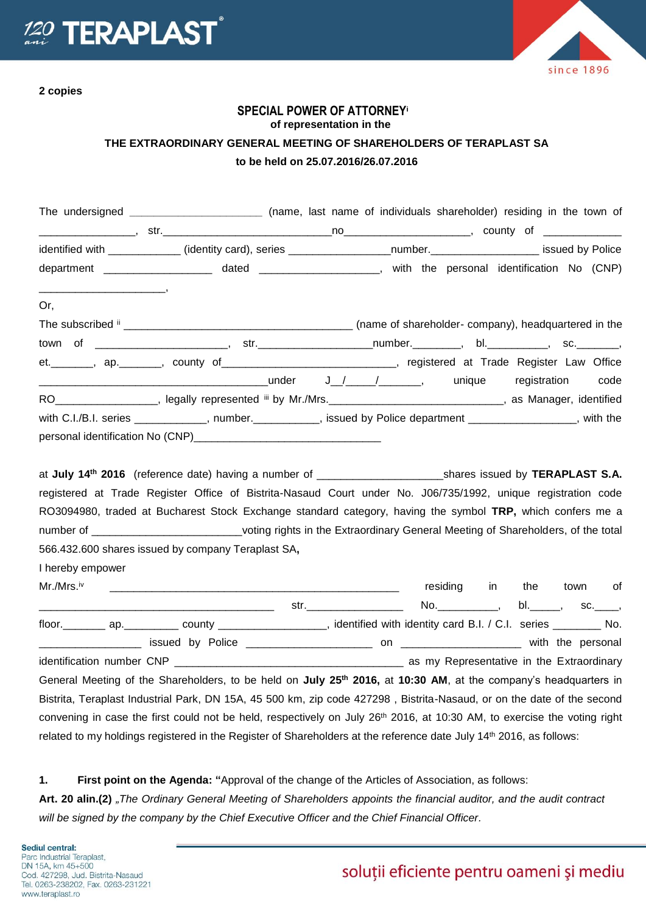

**2 copies**

since 1896

## **SPECIAL POWER OF ATTORNEY<sup>i</sup> of representation in the THE EXTRAORDINARY GENERAL MEETING OF SHAREHOLDERS OF TERAPLAST SA to be held on 25.07.2016/26.07.2016**

|                                 | The undersigned _________________________ (name, last name of individuals shareholder) residing in the town of                                                                                                                                                                                                                                          |  |  |  |      |
|---------------------------------|---------------------------------------------------------------------------------------------------------------------------------------------------------------------------------------------------------------------------------------------------------------------------------------------------------------------------------------------------------|--|--|--|------|
|                                 |                                                                                                                                                                                                                                                                                                                                                         |  |  |  |      |
|                                 | identified with ____________ (identity card), series _____________________number._____________________ issued by Police                                                                                                                                                                                                                                 |  |  |  |      |
|                                 | department ______________________ dated ______________________, with the personal identification No (CNP)                                                                                                                                                                                                                                               |  |  |  |      |
| $\overline{\phantom{a}}$<br>Or, |                                                                                                                                                                                                                                                                                                                                                         |  |  |  |      |
|                                 |                                                                                                                                                                                                                                                                                                                                                         |  |  |  |      |
|                                 |                                                                                                                                                                                                                                                                                                                                                         |  |  |  |      |
|                                 | et.________, ap.________, county of_____________________________, registered at Trade Register Law Office                                                                                                                                                                                                                                               |  |  |  |      |
|                                 |                                                                                                                                                                                                                                                                                                                                                         |  |  |  | code |
|                                 | RO___________________, legally represented iii by Mr./Mrs.________________________________, as Manager, identified                                                                                                                                                                                                                                      |  |  |  |      |
|                                 | with C.I./B.I. series ____________, number.__________, issued by Police department ________________, with the                                                                                                                                                                                                                                           |  |  |  |      |
|                                 |                                                                                                                                                                                                                                                                                                                                                         |  |  |  |      |
|                                 | registered at Trade Register Office of Bistrita-Nasaud Court under No. J06/735/1992, unique registration code<br>RO3094980, traded at Bucharest Stock Exchange standard category, having the symbol TRP, which confers me a<br>number of ______________________________voting rights in the Extraordinary General Meeting of Shareholders, of the total |  |  |  |      |
|                                 | 566.432.600 shares issued by company Teraplast SA,                                                                                                                                                                                                                                                                                                      |  |  |  |      |
| I hereby empower                |                                                                                                                                                                                                                                                                                                                                                         |  |  |  |      |
|                                 |                                                                                                                                                                                                                                                                                                                                                         |  |  |  |      |
|                                 |                                                                                                                                                                                                                                                                                                                                                         |  |  |  |      |
|                                 | floor. _________ ap. ___________ county ____________________, identified with identity card B.I. / C.I. series _________ No.                                                                                                                                                                                                                            |  |  |  |      |
|                                 |                                                                                                                                                                                                                                                                                                                                                         |  |  |  |      |
|                                 |                                                                                                                                                                                                                                                                                                                                                         |  |  |  |      |
|                                 | General Meeting of the Shareholders, to be held on July 25 <sup>th</sup> 2016, at 10:30 AM, at the company's headquarters in                                                                                                                                                                                                                            |  |  |  |      |
|                                 | Bistrita, Teraplast Industrial Park, DN 15A, 45 500 km, zip code 427298, Bistrita-Nasaud, or on the date of the second                                                                                                                                                                                                                                  |  |  |  |      |
|                                 | convening in case the first could not be held, respectively on July 26th 2016, at 10:30 AM, to exercise the voting right                                                                                                                                                                                                                                |  |  |  |      |
|                                 | related to my holdings registered in the Register of Shareholders at the reference date July 14th 2016, as follows:                                                                                                                                                                                                                                     |  |  |  |      |

**1. First point on the Agenda: "**Approval of the change of the Articles of Association, as follows:

Art. 20 alin.(2) "The Ordinary General Meeting of Shareholders appoints the financial auditor, and the audit contract *will be signed by the company by the Chief Executive Officer and the Chief Financial Officer.*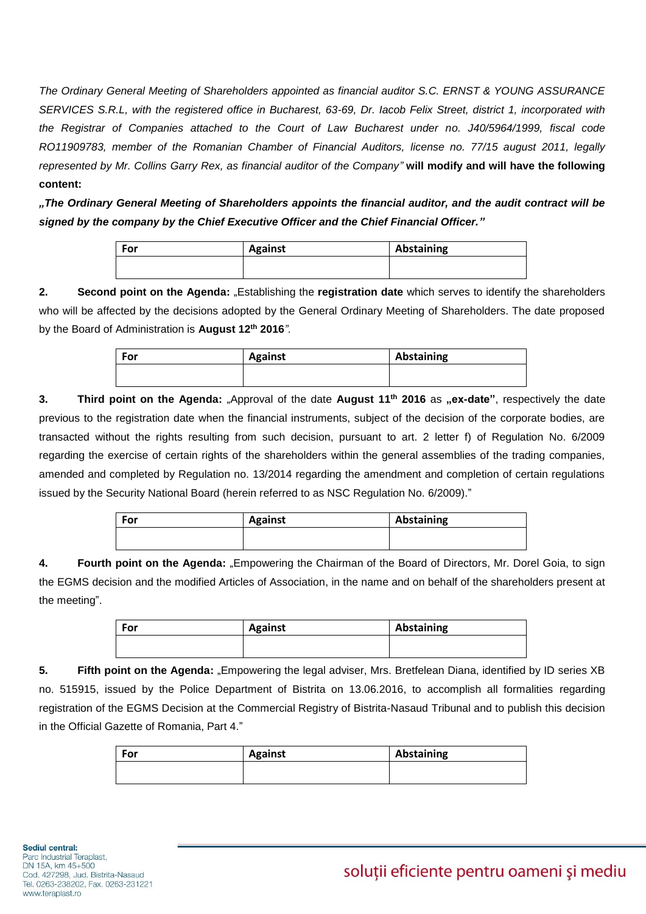*The Ordinary General Meeting of Shareholders appointed as financial auditor S.C. ERNST & YOUNG ASSURANCE SERVICES S.R.L, with the registered office in Bucharest, 63-69, Dr. Iacob Felix Street, district 1, incorporated with the Registrar of Companies attached to the Court of Law Bucharest under no. J40/5964/1999, fiscal code RO11909783, member of the Romanian Chamber of Financial Auditors, license no. 77/15 august 2011, legally represented by Mr. Collins Garry Rex, as financial auditor of the Company"* **will modify and will have the following content:** 

*"The Ordinary General Meeting of Shareholders appoints the financial auditor, and the audit contract will be signed by the company by the Chief Executive Officer and the Chief Financial Officer."*

| For | <b>Against</b> | Abstaining |
|-----|----------------|------------|
|     |                |            |

**2. Second point on the Agenda:** "Establishing the **registration date** which serves to identify the shareholders who will be affected by the decisions adopted by the General Ordinary Meeting of Shareholders. The date proposed by the Board of Administration is **August 12th 2016***".*

| For | <b>Against</b> | Abstaining |  |  |
|-----|----------------|------------|--|--|
|     |                |            |  |  |

**3. Third point on the Agenda:** "Approval of the date **August 11th 2016** as **"ex-date"**, respectively the date previous to the registration date when the financial instruments, subject of the decision of the corporate bodies, are transacted without the rights resulting from such decision, pursuant to art. 2 letter f) of Regulation No. 6/2009 regarding the exercise of certain rights of the shareholders within the general assemblies of the trading companies, amended and completed by Regulation no. 13/2014 regarding the amendment and completion of certain regulations issued by the Security National Board (herein referred to as NSC Regulation No. 6/2009)."

| For | <b>Against</b> | Abstaining |
|-----|----------------|------------|
|     |                |            |
|     |                |            |

**4. Fourth point on the Agenda:** "Empowering the Chairman of the Board of Directors, Mr. Dorel Goia, to sign the EGMS decision and the modified Articles of Association, in the name and on behalf of the shareholders present at the meeting".

| For | <b>Against</b> | Abstaining |  |  |
|-----|----------------|------------|--|--|
|     |                |            |  |  |

**5. Fifth point on the Agenda:** "Empowering the legal adviser, Mrs. Bretfelean Diana, identified by ID series XB no. 515915, issued by the Police Department of Bistrita on 13.06.2016, to accomplish all formalities regarding registration of the EGMS Decision at the Commercial Registry of Bistrita-Nasaud Tribunal and to publish this decision in the Official Gazette of Romania, Part 4."

| For | <b>Against</b> | Abstaining |
|-----|----------------|------------|
|     |                |            |
|     |                |            |